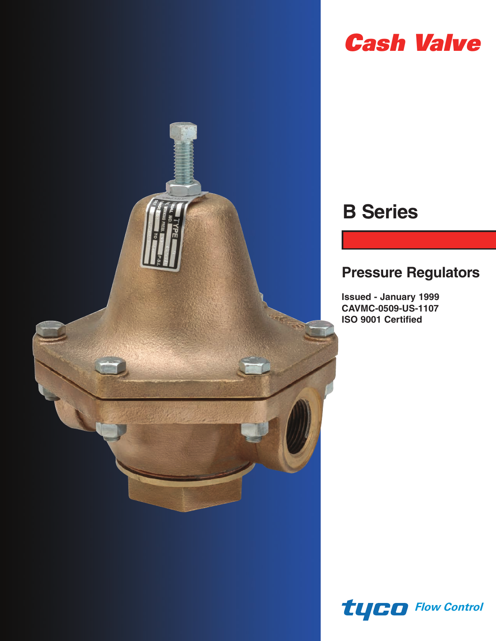

# *Cash Valve*

# **B Series**

## **Pressure Regulators**

**Issued - January 1999 CAVMC-0509-US-1107 ISO 9001 Certified**

*Flow Control*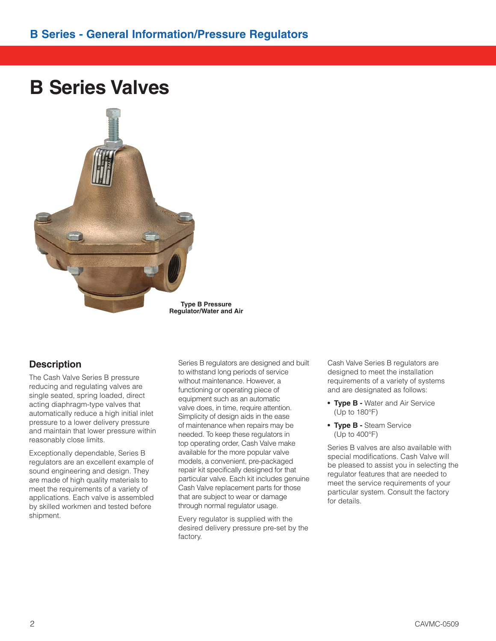## **B Series Valves**



**Type B Pressure Regulator/Water and Air**

### **Description**

The Cash Valve Series B pressure reducing and regulating valves are single seated, spring loaded, direct acting diaphragm-type valves that automatically reduce a high initial inlet pressure to a lower delivery pressure and maintain that lower pressure within reasonably close limits.

Exceptionally dependable, Series B regulators are an excellent example of sound engineering and design. They are made of high quality materials to meet the requirements of a variety of applications. Each valve is assembled by skilled workmen and tested before shipment.

Series B regulators are designed and built to withstand long periods of service without maintenance. However, a functioning or operating piece of equipment such as an automatic valve does, in time, require attention. Simplicity of design aids in the ease of maintenance when repairs may be needed. To keep these regulators in top operating order, Cash Valve make available for the more popular valve models, a convenient, pre-packaged repair kit specifically designed for that particular valve. Each kit includes genuine Cash Valve replacement parts for those that are subject to wear or damage through normal regulator usage.

Every regulator is supplied with the desired delivery pressure pre-set by the factory.

Cash Valve Series B regulators are designed to meet the installation requirements of a variety of systems and are designated as follows:

- **Type B -** Water and Air Service (Up to 180°F)
- **Type B** Steam Service (Up to 400°F)

Series B valves are also available with special modifications. Cash Valve will be pleased to assist you in selecting the regulator features that are needed to meet the service requirements of your particular system. Consult the factory for details.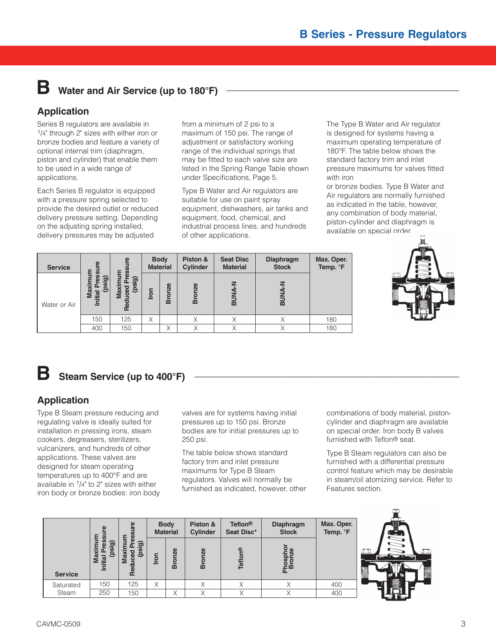## **B** Water and Air Service (up to 180 $\degree$ F)

## **Application**

Series B regulators are available in 1/4" through 2" sizes with either iron or bronze bodies and feature a variety of optional internal trim (diaphragm, piston and cylinder) that enable them to be used in a wide range of applications.

Each Series B regulator is equipped with a pressure spring selected to provide the desired outlet or reduced delivery pressure setting. Depending on the adjusting spring installed, delivery pressures may be adjusted

from a minimum of 2 psi to a maximum of 150 psi. The range of adjustment or satisfactory working range of the individual springs that may be fitted to each valve size are listed in the Spring Range Table shown under Specifications, Page 5.

Type B Water and Air regulators are suitable for use on paint spray equipment, dishwashers, air tanks and equipment, food, chemical, and industrial process lines, and hundreds of other applications.

The Type B Water and Air regulator is designed for systems having a maximum operating temperature of 180°F. The table below shows the standard factory trim and inlet pressure maximums for valves fitted with iron

or bronze bodies. Type B Water and Air regulators are normally furnished as indicated in the table, however, any combination of body material, piston-cylinder and diaphragm is available on special order.



| <b>Service</b> | ທ                                              |                                              |      | <b>Body</b><br><b>Material</b> | Piston &<br>Cylinder | <b>Seat Disc</b><br><b>Material</b> | <b>Diaphragm</b><br><b>Stock</b> | Max. Oper.<br>Temp. °F |
|----------------|------------------------------------------------|----------------------------------------------|------|--------------------------------|----------------------|-------------------------------------|----------------------------------|------------------------|
| Water or Air   | m<br>cn,<br>sig)<br>Maxim<br>ω<br>ā<br>Initial | m<br><u>igi</u><br>jag<br>ced<br><b>Maxi</b> | Iron | ronze<br>മ                     | <b>Bronze</b>        | $rac{4}{5}$<br>ᅙ                    | <b>BUNA</b>                      |                        |
|                | 150                                            | 125                                          | X    |                                | ∧                    | Χ                                   |                                  | 180                    |
|                | 400                                            | 150                                          |      | $\checkmark$<br>∧              | $\checkmark$         |                                     |                                  | 180                    |

## **B** Steam Service (up to 400°F)

## **Application**

Type B Steam pressure reducing and regulating valve is ideally suited for installation in pressing irons, steam cookers, degreasers, sterilizers, vulcanizers, and hundreds of other applications. These valves are designed for steam operating temperatures up to 400°F and are available in  $1/4$ " to 2" sizes with either iron body or bronze bodies: iron body valves are for systems having initial pressures up to 150 psi. Bronze bodies are for initial pressures up to 250 psi.

The table below shows standard factory trim and inlet pressure maximums for Type B Steam regulators. Valves will normally be furnished as indicated, however, other combinations of body material, pistoncylinder and diaphragm are available on special order. Iron body B valves furnished with Teflon® seat.

Type B Steam regulators can also be furnished with a differential pressure control feature which may be desirable in steam/oil atomizing service. Refer to Features section.

|                | ٤                    |                                 |      | <b>Body</b><br><b>Material</b> | Piston &<br><b>Cylinder</b> | <b>Teflon<sup>®</sup></b><br>Seat Disc* | <b>Diaphragm</b><br><b>Stock</b>           | Max. Oper.<br>Temp. °F |  |
|----------------|----------------------|---------------------------------|------|--------------------------------|-----------------------------|-----------------------------------------|--------------------------------------------|------------------------|--|
| <b>Service</b> | 0<br>n<br>la<br>lial | <u>ିର</u><br>ഒ<br>Ξ<br><u>ଝ</u> | Iron | <b>ze</b><br>ō<br>മ            | <b>IZe</b><br>Broi          | అ<br>뒨                                  | $\mathbf{a}$<br>hospl<br>Bronz<br>$\Omega$ |                        |  |
| Saturated      | 150                  | 125                             | X    |                                | $\checkmark$                | Χ                                       |                                            | 400                    |  |
| Steam          | 250                  | 150                             |      | X                              | $\checkmark$<br>∧           | Χ                                       | $\checkmark$                               | 400                    |  |

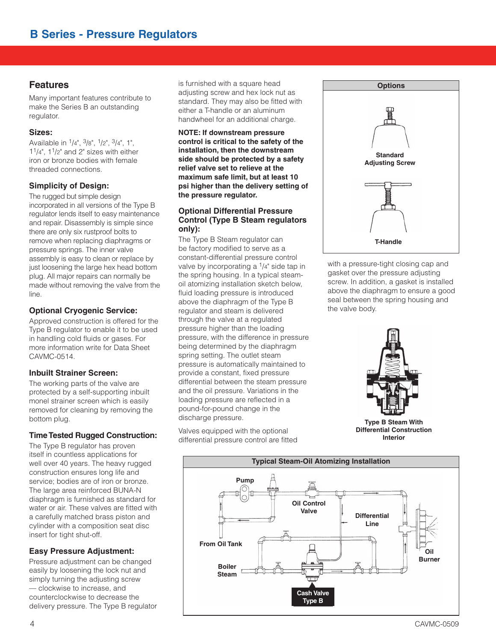#### **Features**

Many important features contribute to make the Series B an outstanding regulator.

#### **Sizes:**

Available in 1/4", 3/8", 1/2", 3/4", 1",  $1<sup>1</sup>/4$ ",  $1<sup>1</sup>/2$ " and 2" sizes with either iron or bronze bodies with female threaded connections.

#### **Simplicity of Design:**

The rugged but simple design incorporated in all versions of the Type B regulator lends itself to easy maintenance and repair. Disassembly is simple since there are only six rustproof bolts to remove when replacing diaphragms or pressure springs. The inner valve assembly is easy to clean or replace by just loosening the large hex head bottom plug. All major repairs can normally be made without removing the valve from the line.

#### **Optional Cryogenic Service:**

Approved construction is offered for the Type B regulator to enable it to be used in handling cold fluids or gases. For more information write for Data Sheet CAVMC-0514.

#### **Inbuilt Strainer Screen:**

The working parts of the valve are protected by a self-supporting inbuilt monel strainer screen which is easily removed for cleaning by removing the bottom plug.

#### **Time Tested Rugged Construction:**

The Type B regulator has proven itself in countless applications for well over 40 years. The heavy rugged construction ensures long life and service; bodies are of iron or bronze. The large area reinforced BUNA-N diaphragm is furnished as standard for water or air. These valves are fitted with a carefully matched brass piston and cylinder with a composition seat disc insert for tight shut-off.

#### **Easy Pressure Adjustment:**

Pressure adjustment can be changed easily by loosening the lock nut and simply turning the adjusting screw — clockwise to increase, and counterclock wise to decrease the delivery pressure. The Type B regulator is furnished with a square head adjusting screw and hex lock nut as standard. They may also be fitted with either a T-handle or an aluminum handwheel for an additional charge.

#### **NOTE: If downstream pressure control is critical to the safety of the installation, then the downstream side should be protected by a safety relief valve set to relieve at the maximum safe limit, but at least 10 psi higher than the delivery setting of the pressure regulator.**

#### **Optional Differential Pressure Control (Type B Steam regulators only):**

The Type B Steam regulator can be factory modified to serve as a constant-differential pressure control valve by incorporating a  $\frac{1}{4}$ " side tap in the spring housing. In a typical steamoil atomizing installation sketch below, fluid loading pressure is introduced above the diaphragm of the Type B regulator and steam is delivered through the valve at a regulated pressure higher than the loading pressure, with the difference in pressure being determined by the diaphragm spring setting. The outlet steam pressure is automatically maintained to provide a constant, fixed pressure differential between the steam pressure and the oil pressure. Variations in the loading pressure are reflected in a pound-for-pound change in the discharge pressure.

Valves equipped with the optional differential pressure control are fitted



with a pressure-tight closing cap and gasket over the pressure adjusting screw. In addition, a gasket is installed above the diaphragm to ensure a good seal between the spring housing and the valve body.



**Type B Steam With Differential Construction Interior**

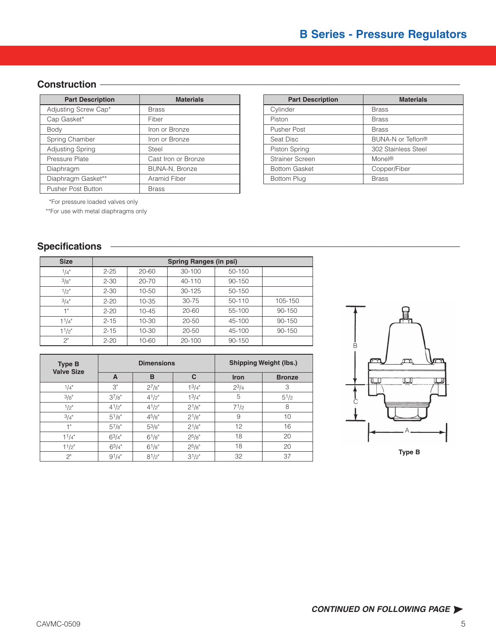## Construction **<b>**

| <b>Part Description</b>   | <b>Materials</b>    |
|---------------------------|---------------------|
| Adjusting Screw Cap*      | <b>Brass</b>        |
| Cap Gasket*               | Fiber               |
| Body                      | Iron or Bronze      |
| Spring Chamber            | Iron or Bronze      |
| Adjusting Spring          | Steel               |
| Pressure Plate            | Cast Iron or Bronze |
| Diaphragm                 | BUNA-N, Bronze      |
| Diaphragm Gasket**        | Aramid Fiber        |
| <b>Pusher Post Button</b> | <b>Brass</b>        |

| <b>Materials</b> | <b>Part Description</b> | <b>Materials</b>    |
|------------------|-------------------------|---------------------|
|                  | Cylinder                | <b>Brass</b>        |
|                  | Piston                  | <b>Brass</b>        |
| onze             | <b>Pusher Post</b>      | <b>Brass</b>        |
| onze             | Seat Disc               | BUNA-N or Teflon®   |
|                  | Piston Spring           | 302 Stainless Steel |
| or Bronze        | Strainer Screen         | Monel <sup>®</sup>  |
| <b>Bronze</b>    | <b>Bottom Gasket</b>    | Copper/Fiber        |
| ber              | Bottom Plug             | <b>Brass</b>        |
|                  |                         |                     |

\*For pressure loaded valves only

\*\*For use with metal diaphragms only

## $S$  pecifications

| <b>Size</b> | Spring Ranges (in psi) |           |        |        |         |  |  |  |  |
|-------------|------------------------|-----------|--------|--------|---------|--|--|--|--|
| 1/4"        | $2 - 25$               | 20-60     | 30-100 | 50-150 |         |  |  |  |  |
| 3/8"        | $2 - 30$               | $20 - 70$ | 40-110 | 90-150 |         |  |  |  |  |
| 1/2"        | $2 - 30$               | 10-50     | 30-125 | 50-150 |         |  |  |  |  |
| 3/4"        | $2 - 20$               | 10-35     | 30-75  | 50-110 | 105-150 |  |  |  |  |
| -1 "        | $2 - 20$               | 10-45     | 20-60  | 55-100 | 90-150  |  |  |  |  |
| 11/4"       | $2 - 15$               | 10-30     | 20-50  | 45-100 | 90-150  |  |  |  |  |
| $1^{1}/2$ " | $2 - 15$               | 10-30     | 20-50  | 45-100 | 90-150  |  |  |  |  |
| 2"          | $2 - 20$               | 10-60     | 20-100 | 90-150 |         |  |  |  |  |

| <b>Type B</b><br><b>Valve Size</b> |             | <b>Dimensions</b> |            | <b>Shipping Weight (lbs.)</b> |               |  |
|------------------------------------|-------------|-------------------|------------|-------------------------------|---------------|--|
|                                    | A           | B                 | C          | <b>Iron</b>                   | <b>Bronze</b> |  |
| 1/4"                               | 3"          | $2^{7}/8"$        | $1^3/4"$   | $2^{3}/4$                     | 3             |  |
| 3/8"                               | $3^{7}/8"$  | $4^{1}/2$ "       | $1^{3}/4"$ | 5                             | $5^{1/2}$     |  |
| 1/2"                               | $4^{1}/2$ " | $4^{1}/2$ "       | $2^{1}/8"$ | $7^{1/2}$                     | 8             |  |
| 3/4"                               | $5^{1}/8"$  | 45/8"             | $2^{1/8"}$ | 9                             | 10            |  |
| 1"                                 | $5^{7}/8"$  | $5^{3}/8"$        | $2^{1/8"}$ | 12                            | 16            |  |
| $1^{1}/4"$                         | $6^{3}/4"$  | $6^{1}/8"$        | $2^{5}/8"$ | 18                            | 20            |  |
| $1^{1/2"$                          | $6^{3}/4"$  | $6^{1}/8"$        | $2^{5/8"}$ | 18                            | 20            |  |
| 2"                                 | $9^{1}/4"$  | $8^{1}/2$ "       | $3^{1}/2"$ | 32                            | 37            |  |

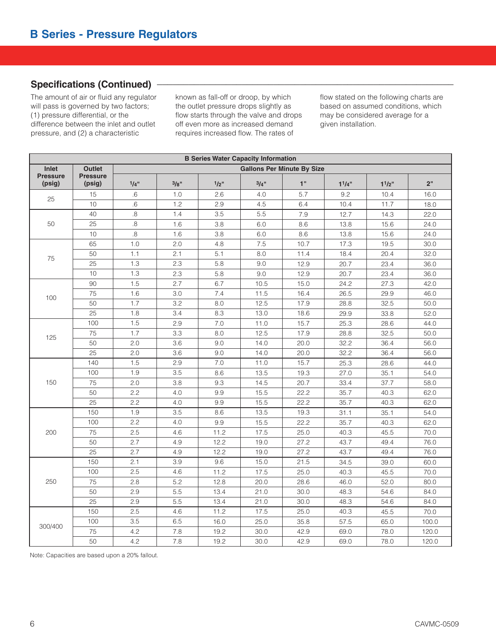### Specifications (Continued) **<b>·**

The amount of air or fluid any regulator will pass is governed by two factors; (1) pressure differential, or the difference between the inlet and outlet pressure, and (2) a characteristic

known as fall-off or droop, by which the outlet pressure drops slightly as flow starts through the valve and drops off even more as increased demand requires increased flow. The rates of

flow stated on the following charts are based on assumed conditions, which may be considered average for a given installation.

|                           | <b>B Series Water Capacity Information</b> |         |      |      |      |                                   |       |       |       |  |  |
|---------------------------|--------------------------------------------|---------|------|------|------|-----------------------------------|-------|-------|-------|--|--|
| <b>Inlet</b>              | <b>Outlet</b>                              |         |      |      |      | <b>Gallons Per Minute By Size</b> |       |       |       |  |  |
| <b>Pressure</b><br>(psig) | <b>Pressure</b><br>(psig)                  | $1/4$ " | 3/8" | 1/2" | 3/4" | 1"                                | 11/4" | 11/2" | 2"    |  |  |
| 25                        | 15                                         | .6      | 1.0  | 2.6  | 4.0  | 5.7                               | 9.2   | 10.4  | 16.0  |  |  |
|                           | 10                                         | .6      | 1.2  | 2.9  | 4.5  | 6.4                               | 10.4  | 11.7  | 18.0  |  |  |
|                           | 40                                         | 8.5     | 1.4  | 3.5  | 5.5  | 7.9                               | 12.7  | 14.3  | 22.0  |  |  |
| 50                        | 25                                         | .8      | 1.6  | 3.8  | 6.0  | 8.6                               | 13.8  | 15.6  | 24.0  |  |  |
|                           | 10                                         | 8.5     | 1.6  | 3.8  | 6.0  | 8.6                               | 13.8  | 15.6  | 24.0  |  |  |
|                           | 65                                         | 1.0     | 2.0  | 4.8  | 7.5  | 10.7                              | 17.3  | 19.5  | 30.0  |  |  |
| 75                        | 50                                         | 1.1     | 2.1  | 5.1  | 8.0  | 11.4                              | 18.4  | 20.4  | 32.0  |  |  |
|                           | 25                                         | 1.3     | 2.3  | 5.8  | 9.0  | 12.9                              | 20.7  | 23.4  | 36.0  |  |  |
|                           | 10                                         | 1.3     | 2.3  | 5.8  | 9.0  | 12.9                              | 20.7  | 23.4  | 36.0  |  |  |
|                           | 90                                         | 1.5     | 2.7  | 6.7  | 10.5 | 15.0                              | 24.2  | 27.3  | 42.0  |  |  |
| 100                       | 75                                         | 1.6     | 3.0  | 7.4  | 11.5 | 16.4                              | 26.5  | 29.9  | 46.0  |  |  |
|                           | 50                                         | 1.7     | 3.2  | 8.0  | 12.5 | 17.9                              | 28.8  | 32.5  | 50.0  |  |  |
|                           | 25                                         | 1.8     | 3.4  | 8.3  | 13.0 | 18.6                              | 29.9  | 33.8  | 52.0  |  |  |
| 125                       | 100                                        | 1.5     | 2.9  | 7.0  | 11.0 | 15.7                              | 25.3  | 28.6  | 44.0  |  |  |
|                           | 75                                         | 1.7     | 3.3  | 8.0  | 12.5 | 17.9                              | 28.8  | 32.5  | 50.0  |  |  |
|                           | 50                                         | 2.0     | 3.6  | 9.0  | 14.0 | 20.0                              | 32.2  | 36.4  | 56.0  |  |  |
|                           | 25                                         | 2.0     | 3.6  | 9.0  | 14.0 | 20.0                              | 32.2  | 36.4  | 56.0  |  |  |
|                           | 140                                        | 1.5     | 2.9  | 7.0  | 11.0 | 15.7                              | 25.3  | 28.6  | 44.0  |  |  |
|                           | 100                                        | 1.9     | 3.5  | 8.6  | 13.5 | 19.3                              | 27.0  | 35.1  | 54.0  |  |  |
| 150                       | 75                                         | 2.0     | 3.8  | 9.3  | 14.5 | 20.7                              | 33.4  | 37.7  | 58.0  |  |  |
|                           | 50                                         | 2.2     | 4.0  | 9.9  | 15.5 | 22.2                              | 35.7  | 40.3  | 62.0  |  |  |
|                           | 25                                         | 2.2     | 4.0  | 9.9  | 15.5 | 22.2                              | 35.7  | 40.3  | 62.0  |  |  |
|                           | 150                                        | 1.9     | 3.5  | 8.6  | 13.5 | 19.3                              | 31.1  | 35.1  | 54.0  |  |  |
|                           | 100                                        | 2.2     | 4.0  | 9.9  | 15.5 | 22.2                              | 35.7  | 40.3  | 62.0  |  |  |
| 200                       | 75                                         | 2.5     | 4.6  | 11.2 | 17.5 | 25.0                              | 40.3  | 45.5  | 70.0  |  |  |
|                           | 50                                         | 2.7     | 4.9  | 12.2 | 19.0 | 27.2                              | 43.7  | 49.4  | 76.0  |  |  |
|                           | 25                                         | 2.7     | 4.9  | 12.2 | 19.0 | 27.2                              | 43.7  | 49.4  | 76.0  |  |  |
|                           | 150                                        | 2.1     | 3.9  | 9.6  | 15.0 | 21.5                              | 34.5  | 39.0  | 60.0  |  |  |
|                           | 100                                        | 2.5     | 4.6  | 11.2 | 17.5 | 25.0                              | 40.3  | 45.5  | 70.0  |  |  |
| 250                       | 75                                         | 2.8     | 5.2  | 12.8 | 20.0 | 28.6                              | 46.0  | 52.0  | 80.0  |  |  |
|                           | 50                                         | 2.9     | 5.5  | 13.4 | 21.0 | 30.0                              | 48.3  | 54.6  | 84.0  |  |  |
|                           | 25                                         | 2.9     | 5.5  | 13.4 | 21.0 | 30.0                              | 48.3  | 54.6  | 84.0  |  |  |
|                           | 150                                        | 2.5     | 4.6  | 11.2 | 17.5 | 25.0                              | 40.3  | 45.5  | 70.0  |  |  |
|                           | 100                                        | 3.5     | 6.5  | 16.0 | 25.0 | 35.8                              | 57.5  | 65.0  | 100.0 |  |  |
| 300/400                   | 75                                         | 4.2     | 7.8  | 19.2 | 30.0 | 42.9                              | 69.0  | 78.0  | 120.0 |  |  |
|                           | 50                                         | 4.2     | 7.8  | 19.2 | 30.0 | 42.9                              | 69.0  | 78.0  | 120.0 |  |  |

Note: Capacities are based upon a 20% fallout.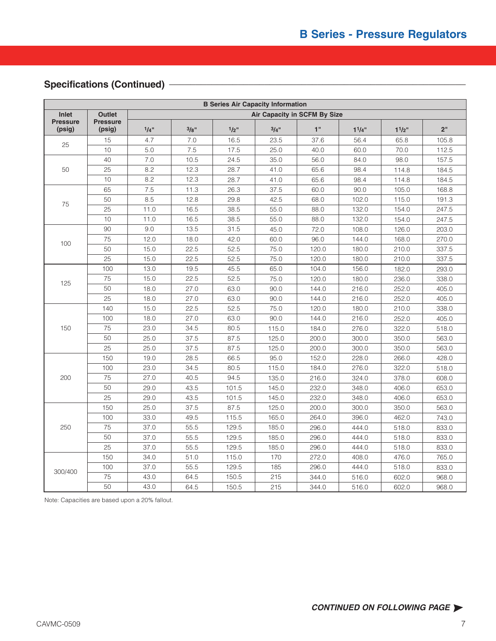## Specifications (Continued) -

|                           | <b>B Series Air Capacity Information</b> |         |      |         |                              |       |       |       |                 |  |  |
|---------------------------|------------------------------------------|---------|------|---------|------------------------------|-------|-------|-------|-----------------|--|--|
| <b>Inlet</b>              | <b>Outlet</b>                            |         |      |         | Air Capacity in SCFM By Size |       |       |       |                 |  |  |
| <b>Pressure</b><br>(psig) | <b>Pressure</b><br>(psig)                | $1/4$ " | 3/8" | $1/2$ " | 3/4"                         | 1"    | 11/4" | 11/2" | 2 <sup>''</sup> |  |  |
| 25                        | 15                                       | 4.7     | 7.0  | 16.5    | 23.5                         | 37.6  | 56.4  | 65.8  | 105.8           |  |  |
|                           | 10                                       | 5.0     | 7.5  | 17.5    | 25.0                         | 40.0  | 60.0  | 70.0  | 112.5           |  |  |
|                           | 40                                       | 7.0     | 10.5 | 24.5    | 35.0                         | 56.0  | 84.0  | 98.0  | 157.5           |  |  |
| 50                        | 25                                       | 8.2     | 12.3 | 28.7    | 41.0                         | 65.6  | 98.4  | 114.8 | 184.5           |  |  |
|                           | 10                                       | 8.2     | 12.3 | 28.7    | 41.0                         | 65.6  | 98.4  | 114.8 | 184.5           |  |  |
|                           | 65                                       | 7.5     | 11.3 | 26.3    | 37.5                         | 60.0  | 90.0  | 105.0 | 168.8           |  |  |
| 75                        | 50                                       | 8.5     | 12.8 | 29.8    | 42.5                         | 68.0  | 102.0 | 115.0 | 191.3           |  |  |
|                           | 25                                       | 11.0    | 16.5 | 38.5    | 55.0                         | 88.0  | 132.0 | 154.0 | 247.5           |  |  |
|                           | 10                                       | 11.0    | 16.5 | 38.5    | 55.0                         | 88.0  | 132.0 | 154.0 | 247.5           |  |  |
|                           | 90                                       | 9.0     | 13.5 | 31.5    | 45.0                         | 72.0  | 108.0 | 126.0 | 203.0           |  |  |
| 100                       | 75                                       | 12.0    | 18.0 | 42.0    | 60.0                         | 96.0  | 144.0 | 168.0 | 270.0           |  |  |
|                           | 50                                       | 15.0    | 22.5 | 52.5    | 75.0                         | 120.0 | 180.0 | 210.0 | 337.5           |  |  |
|                           | 25                                       | 15.0    | 22.5 | 52.5    | 75.0                         | 120.0 | 180.0 | 210.0 | 337.5           |  |  |
|                           | 100                                      | 13.0    | 19.5 | 45.5    | 65.0                         | 104.0 | 156.0 | 182.0 | 293.0           |  |  |
| 125                       | 75                                       | 15.0    | 22.5 | 52.5    | 75.0                         | 120.0 | 180.0 | 236.0 | 338.0           |  |  |
|                           | 50                                       | 18.0    | 27.0 | 63.0    | 90.0                         | 144.0 | 216.0 | 252.0 | 405.0           |  |  |
|                           | 25                                       | 18.0    | 27.0 | 63.0    | 90.0                         | 144.0 | 216.0 | 252.0 | 405.0           |  |  |
|                           | 140                                      | 15.0    | 22.5 | 52.5    | 75.0                         | 120.0 | 180.0 | 210.0 | 338.0           |  |  |
|                           | 100                                      | 18.0    | 27.0 | 63.0    | 90.0                         | 144.0 | 216.0 | 252.0 | 405.0           |  |  |
| 150                       | 75                                       | 23.0    | 34.5 | 80.5    | 115.0                        | 184.0 | 276.0 | 322.0 | 518.0           |  |  |
|                           | 50                                       | 25.0    | 37.5 | 87.5    | 125.0                        | 200.0 | 300.0 | 350.0 | 563.0           |  |  |
|                           | 25                                       | 25.0    | 37.5 | 87.5    | 125.0                        | 200.0 | 300.0 | 350.0 | 563.0           |  |  |
|                           | 150                                      | 19.0    | 28.5 | 66.5    | 95.0                         | 152.0 | 228.0 | 266.0 | 428.0           |  |  |
|                           | 100                                      | 23.0    | 34.5 | 80.5    | 115.0                        | 184.0 | 276.0 | 322.0 | 518.0           |  |  |
| 200                       | 75                                       | 27.0    | 40.5 | 94.5    | 135.0                        | 216.0 | 324.0 | 378.0 | 608.0           |  |  |
|                           | 50                                       | 29.0    | 43.5 | 101.5   | 145.0                        | 232.0 | 348.0 | 406.0 | 653.0           |  |  |
|                           | 25                                       | 29.0    | 43.5 | 101.5   | 145.0                        | 232.0 | 348.0 | 406.0 | 653.0           |  |  |
|                           | 150                                      | 25.0    | 37.5 | 87.5    | 125.0                        | 200.0 | 300.0 | 350.0 | 563.0           |  |  |
|                           | 100                                      | 33.0    | 49.5 | 115.5   | 165.0                        | 264.0 | 396.0 | 462.0 | 743.0           |  |  |
| 250                       | 75                                       | 37.0    | 55.5 | 129.5   | 185.0                        | 296.0 | 444.0 | 518.0 | 833.0           |  |  |
|                           | 50                                       | 37.0    | 55.5 | 129.5   | 185.0                        | 296.0 | 444.0 | 518.0 | 833.0           |  |  |
|                           | $\overline{25}$                          | 37.0    | 55.5 | 129.5   | 185.0                        | 296.0 | 444.0 | 518.0 | 833.0           |  |  |
|                           | 150                                      | 34.0    | 51.0 | 115.0   | 170                          | 272.0 | 408.0 | 476.0 | 765.0           |  |  |
| 300/400                   | 100                                      | 37.0    | 55.5 | 129.5   | 185                          | 296.0 | 444.0 | 518.0 | 833.0           |  |  |
|                           | 75                                       | 43.0    | 64.5 | 150.5   | 215                          | 344.0 | 516.0 | 602.0 | 968.0           |  |  |
|                           | 50                                       | 43.0    | 64.5 | 150.5   | 215                          | 344.0 | 516.0 | 602.0 | 968.0           |  |  |

Note: Capacities are based upon a 20% fallout.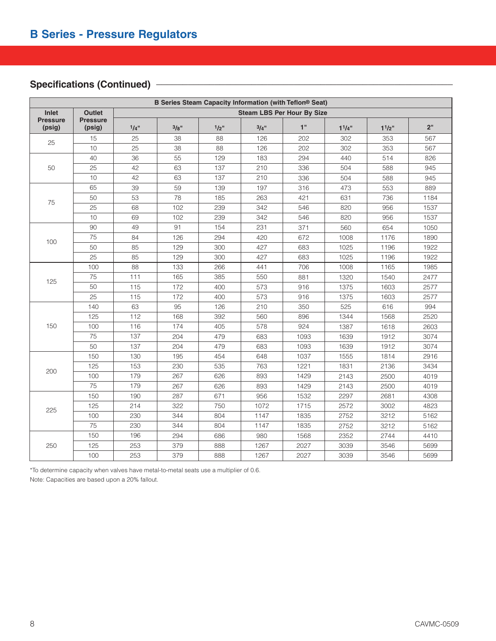## Specifications (Continued) -

|                           | B Series Steam Capacity Information (with Teflon® Seat) |      |      |      |                                   |      |       |       |      |  |  |
|---------------------------|---------------------------------------------------------|------|------|------|-----------------------------------|------|-------|-------|------|--|--|
| <b>Inlet</b>              | <b>Outlet</b>                                           |      |      |      | <b>Steam LBS Per Hour By Size</b> |      |       |       |      |  |  |
| <b>Pressure</b><br>(psig) | <b>Pressure</b><br>(psig)                               | 1/4" | 3/8" | 1/2" | 3/4"                              | 1"   | 11/4" | 11/2" | 2"   |  |  |
| 25                        | 15                                                      | 25   | 38   | 88   | 126                               | 202  | 302   | 353   | 567  |  |  |
|                           | 10                                                      | 25   | 38   | 88   | 126                               | 202  | 302   | 353   | 567  |  |  |
|                           | 40                                                      | 36   | 55   | 129  | 183                               | 294  | 440   | 514   | 826  |  |  |
| 50                        | 25                                                      | 42   | 63   | 137  | 210                               | 336  | 504   | 588   | 945  |  |  |
|                           | 10                                                      | 42   | 63   | 137  | 210                               | 336  | 504   | 588   | 945  |  |  |
|                           | 65                                                      | 39   | 59   | 139  | 197                               | 316  | 473   | 553   | 889  |  |  |
| 75                        | 50                                                      | 53   | 78   | 185  | 263                               | 421  | 631   | 736   | 1184 |  |  |
|                           | 25                                                      | 68   | 102  | 239  | 342                               | 546  | 820   | 956   | 1537 |  |  |
|                           | 10                                                      | 69   | 102  | 239  | 342                               | 546  | 820   | 956   | 1537 |  |  |
|                           | 90                                                      | 49   | 91   | 154  | 231                               | 371  | 560   | 654   | 1050 |  |  |
| 100                       | 75                                                      | 84   | 126  | 294  | 420                               | 672  | 1008  | 1176  | 1890 |  |  |
|                           | 50                                                      | 85   | 129  | 300  | 427                               | 683  | 1025  | 1196  | 1922 |  |  |
|                           | 25                                                      | 85   | 129  | 300  | 427                               | 683  | 1025  | 1196  | 1922 |  |  |
|                           | 100                                                     | 88   | 133  | 266  | 441                               | 706  | 1008  | 1165  | 1985 |  |  |
| 125                       | 75                                                      | 111  | 165  | 385  | 550                               | 881  | 1320  | 1540  | 2477 |  |  |
|                           | 50                                                      | 115  | 172  | 400  | 573                               | 916  | 1375  | 1603  | 2577 |  |  |
|                           | 25                                                      | 115  | 172  | 400  | 573                               | 916  | 1375  | 1603  | 2577 |  |  |
|                           | 140                                                     | 63   | 95   | 126  | 210                               | 350  | 525   | 616   | 994  |  |  |
|                           | 125                                                     | 112  | 168  | 392  | 560                               | 896  | 1344  | 1568  | 2520 |  |  |
| 150                       | 100                                                     | 116  | 174  | 405  | 578                               | 924  | 1387  | 1618  | 2603 |  |  |
|                           | 75                                                      | 137  | 204  | 479  | 683                               | 1093 | 1639  | 1912  | 3074 |  |  |
|                           | 50                                                      | 137  | 204  | 479  | 683                               | 1093 | 1639  | 1912  | 3074 |  |  |
|                           | 150                                                     | 130  | 195  | 454  | 648                               | 1037 | 1555  | 1814  | 2916 |  |  |
| 200                       | 125                                                     | 153  | 230  | 535  | 763                               | 1221 | 1831  | 2136  | 3434 |  |  |
|                           | 100                                                     | 179  | 267  | 626  | 893                               | 1429 | 2143  | 2500  | 4019 |  |  |
|                           | 75                                                      | 179  | 267  | 626  | 893                               | 1429 | 2143  | 2500  | 4019 |  |  |
|                           | 150                                                     | 190  | 287  | 671  | 956                               | 1532 | 2297  | 2681  | 4308 |  |  |
| 225                       | 125                                                     | 214  | 322  | 750  | 1072                              | 1715 | 2572  | 3002  | 4823 |  |  |
|                           | 100                                                     | 230  | 344  | 804  | 1147                              | 1835 | 2752  | 3212  | 5162 |  |  |
|                           | 75                                                      | 230  | 344  | 804  | 1147                              | 1835 | 2752  | 3212  | 5162 |  |  |
|                           | 150                                                     | 196  | 294  | 686  | 980                               | 1568 | 2352  | 2744  | 4410 |  |  |
| 250                       | 125                                                     | 253  | 379  | 888  | 1267                              | 2027 | 3039  | 3546  | 5699 |  |  |
|                           | 100                                                     | 253  | 379  | 888  | 1267                              | 2027 | 3039  | 3546  | 5699 |  |  |

\*To determine capacity when valves have metal-to-metal seats use a multiplier of 0.6.

Note: Capacities are based upon a 20% fallout.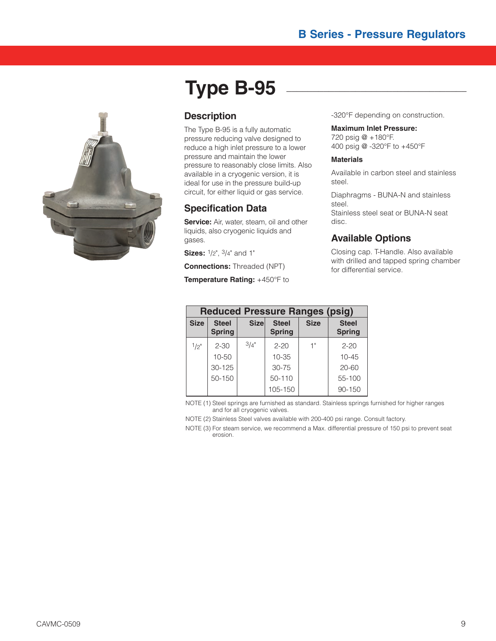

# **Type B-95 \_\_\_\_\_\_\_\_\_\_\_\_\_\_\_\_\_\_\_\_\_\_\_\_\_\_\_\_\_\_\_\_\_\_**

### **Description**

The Type B-95 is a fully automatic pressure reducing valve designed to reduce a high inlet pressure to a lower pressure and maintain the lower pressure to reasonably close limits. Also available in a cryogenic version, it is ideal for use in the pressure build-up circuit, for either liquid or gas service.

### **Specification Data**

**Service:** Air, water, steam, oil and other liquids, also cryogenic liquids and gases.

**Sizes:** 1/2", 3/4" and 1"

**Connections:** Threaded (NPT)

**Temperature Rating:** +450°F to

-320°F depending on construction.

#### **Maximum Inlet Pressure:**

720 psig @ +180°F. 400 psig @ -320°F to +450°F

#### **Materials**

Available in carbon steel and stainless steel.

Diaphragms - BUNA-N and stainless steel. Stainless steel seat or BUNA-N seat disc.

### **Available Options**

Closing cap. T-Handle. Also available with drilled and tapped spring chamber for differential service.

|             | <b>Reduced Pressure Ranges (psig)</b> |             |                               |             |                               |  |  |  |  |  |
|-------------|---------------------------------------|-------------|-------------------------------|-------------|-------------------------------|--|--|--|--|--|
| <b>Size</b> | <b>Steel</b><br><b>Spring</b>         | <b>Size</b> | <b>Steel</b><br><b>Spring</b> | <b>Size</b> | <b>Steel</b><br><b>Spring</b> |  |  |  |  |  |
| $1/2$ "     | $2 - 30$                              | 3/4"        | $2 - 20$                      | 1"          | $2 - 20$                      |  |  |  |  |  |
|             | $10 - 50$                             |             | $10 - 35$                     |             | $10 - 45$                     |  |  |  |  |  |
|             | $30 - 125$                            |             | $30 - 75$                     |             | $20 - 60$                     |  |  |  |  |  |
|             | 50-150                                |             | 50-110                        |             | 55-100                        |  |  |  |  |  |
|             |                                       |             | 105-150                       |             | 90-150                        |  |  |  |  |  |

NOTE (1) Steel springs are furnished as standard. Stainless springs furnished for higher ranges and for all cryogenic valves.

NOTE (2) Stainless Steel valves available with 200-400 psi range. Consult factory.

NOTE (3) For steam service, we recommend a Max. differential pressure of 150 psi to prevent seat erosion.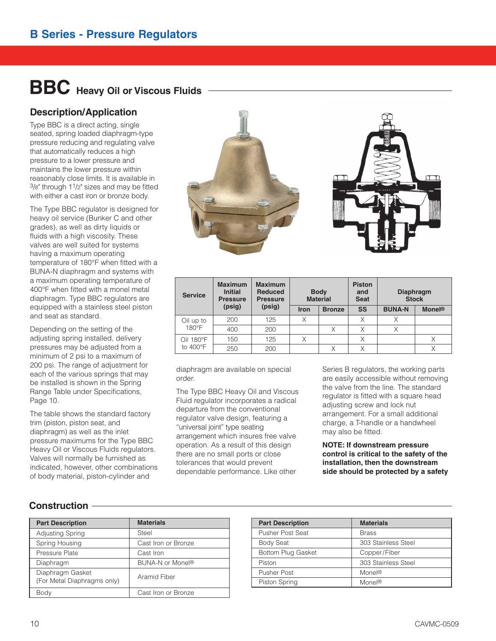# **BBC Heavy Oil or Viscous Fluids \_\_\_\_\_\_\_\_\_\_\_\_\_\_\_\_\_\_\_\_\_\_\_\_\_\_\_\_\_\_\_\_\_\_\_\_\_\_\_\_\_\_\_\_\_\_**

## **Description/Application**

Type BBC is a direct acting, single seated, spring loaded diaphragm-type pressure reducing and regulating valve that automatically reduces a high pressure to a lower pressure and maintains the lower pressure within reasonably close limits. It is available in  $3/8$ " through  $11/2$ " sizes and may be fitted with either a cast iron or bronze body.

The Type BBC regulator is designed for heavy oil service (Bunker C and other grades), as well as dirty liquids or fluids with a high viscosity. These valves are well suited for systems having a maximum operating temperature of 180°F when fitted with a BUNA-N diaphragm and systems with a maximum operating temperature of 400°F when fitted with a monel metal diaphragm. Type BBC regulators are equipped with a stainless steel piston and seat as standard.

Depending on the setting of the adjusting spring installed, delivery pressures may be adjusted from a minimum of 2 psi to a maximum of 200 psi. The range of adjustment for each of the various springs that may be installed is shown in the Spring Range Table under Specifications, Page 10.

The table shows the standard factory trim (piston, piston seat, and diaphragm) as well as the inlet pressure maximums for the Type BBC Heavy Oil or Viscous Fluids regulators. Valves will normally be furnished as indicated, however, other combinations of body material, piston-cylinder and



| <b>Service</b> | <b>Maximum</b><br><b>Initial</b><br><b>Pressure</b> | <b>Maximum</b><br><b>Reduced</b><br><b>Pressure</b> |             | <b>Body</b><br><b>Material</b> | <b>Piston</b><br>and<br><b>Seat</b> | <b>Diaphragm</b><br><b>Stock</b> |                          |
|----------------|-----------------------------------------------------|-----------------------------------------------------|-------------|--------------------------------|-------------------------------------|----------------------------------|--------------------------|
|                | (psig)                                              | (psig)                                              | <b>Iron</b> | <b>Bronze</b>                  | <b>SS</b>                           | <b>BUNA-N</b>                    | <b>Monel<sup>®</sup></b> |
| Oil up to      | 200                                                 | 125                                                 | X           |                                | X                                   | Χ                                |                          |
| 180°F          | 400                                                 | 200                                                 |             | Χ                              | X                                   |                                  |                          |
| Oil 180°F      | 150                                                 | 125                                                 | X           |                                | Χ                                   |                                  |                          |
| to 400°F       | 250                                                 | 200                                                 |             |                                |                                     |                                  |                          |

diaphragm are available on special order.

The Type BBC Heavy Oil and Viscous Fluid regulator incorporates a radical departure from the conventional regulator valve design, featuring a "universal joint" type seating arrangement which insures free valve operation. As a result of this design there are no small ports or close tolerances that would prevent dependable performance. Like other

Series B regulators, the working parts are easily accessible without removing the valve from the line. The standard regulator is fitted with a square head adjusting screw and lock nut arrangement. For a small additional charge, a T-handle or a handwheel may also be fitted.

**NOTE: If downstream pressure control is critical to the safety of the installation, then the downstream side should be protected by a safety**

## **Construction \_\_\_\_\_\_\_\_\_\_\_\_\_\_\_\_\_\_\_\_\_\_\_\_\_\_\_\_\_\_\_\_\_\_\_\_\_\_\_\_\_\_\_\_\_\_\_\_\_\_\_\_\_\_\_\_\_\_\_\_\_\_\_\_\_\_\_\_**

| <b>Part Description</b>     | <b>Materials</b>             | <b>Part Description</b> |
|-----------------------------|------------------------------|-------------------------|
| <b>Adjusting Spring</b>     | Steel                        | <b>Pusher Post Seat</b> |
| Spring Housing              | Cast Iron or Bronze          | <b>Body Seat</b>        |
| Pressure Plate              | Cast Iron                    | Bottom Plug Gas         |
| Diaphragm                   | BUNA-N or Monel <sup>®</sup> | Piston                  |
| Diaphragm Gasket            | Aramid Fiber                 | <b>Pusher Post</b>      |
| (For Metal Diaphragms only) |                              | Piston Spring           |
| Body                        | Cast Iron or Bronze          |                         |

| <b>Materials</b>    |
|---------------------|
| <b>Brass</b>        |
| 303 Stainless Steel |
| Copper/Fiber        |
| 303 Stainless Steel |
| Monel®              |
| Monel®              |
|                     |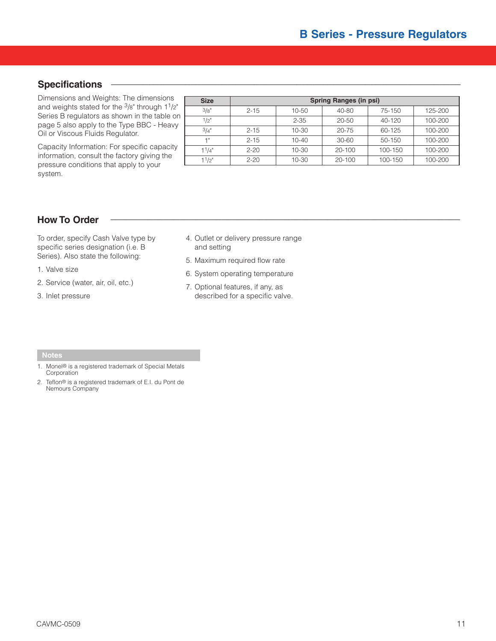#### $S$  pecifications

Dimensions and Weights: The dimensions and weights stated for the 3/8" through 11/2" Series B regulators as shown in the table on page 5 also apply to the Type BBC - Heavy Oil or Viscous Fluids Regulator.

Capacity Information: For specific capacity information, consult the factory giving the pressure conditions that apply to your system.

| <b>Size</b> | <b>Spring Ranges (in psi)</b> |           |            |             |         |  |
|-------------|-------------------------------|-----------|------------|-------------|---------|--|
| 3/8"        | $2 - 15$                      | 10-50     | 40-80      | 75-150      | 125-200 |  |
| 1/2"        |                               | $2 - 35$  | $20 - 50$  | $40 - 120$  | 100-200 |  |
| 3/4"        | $2 - 15$                      | $10 - 30$ | $20 - 75$  | 60-125      | 100-200 |  |
| 4 8         | $2 - 15$                      | $10 - 40$ | 30-60      | 50-150      | 100-200 |  |
| 11/4"       | $2 - 20$                      | 10-30     | $20 - 100$ | $100 - 150$ | 100-200 |  |
| $1^{1/2"$   | $2 - 20$                      | 10-30     | $20 - 100$ | 100-150     | 100-200 |  |

## **How To Order \_\_\_\_\_\_\_\_\_\_\_\_\_\_\_\_\_\_\_\_\_\_\_\_\_\_\_\_\_\_\_\_\_\_\_\_\_\_\_\_\_\_\_\_\_\_\_\_\_\_\_\_\_\_\_\_\_\_\_\_\_\_\_\_\_\_**

To order, specify Cash Valve type by specific series designation (i.e. B Series). Also state the following:

1. Valve size

- 2. Service (water, air, oil, etc.)
- 3. Inlet pressure

4. Outlet or delivery pressure range and setting

5. Maximum required flow rate

- 6. System operating temperature
- 7. Optional features, if any, as described for a specific valve.

- 1. Monel® is a registered trademark of Special Metals Corporation
- 2. Teflon® is a registered trademark of E.I. du Pont de Nemours Company